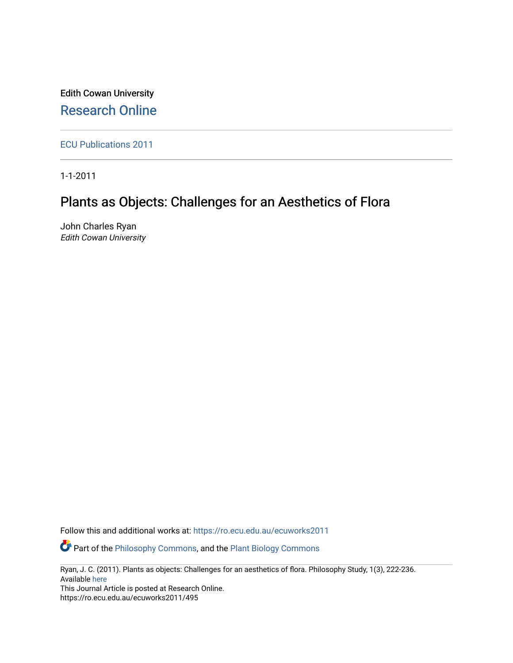Edith Cowan University [Research Online](https://ro.ecu.edu.au/) 

[ECU Publications 2011](https://ro.ecu.edu.au/ecuworks2011)

1-1-2011

# Plants as Objects: Challenges for an Aesthetics of Flora

John Charles Ryan Edith Cowan University

Follow this and additional works at: [https://ro.ecu.edu.au/ecuworks2011](https://ro.ecu.edu.au/ecuworks2011?utm_source=ro.ecu.edu.au%2Fecuworks2011%2F495&utm_medium=PDF&utm_campaign=PDFCoverPages) 

**P** Part of the [Philosophy Commons,](http://network.bepress.com/hgg/discipline/525?utm_source=ro.ecu.edu.au%2Fecuworks2011%2F495&utm_medium=PDF&utm_campaign=PDFCoverPages) and the Plant Biology Commons

Ryan, J. C. (2011). Plants as objects: Challenges for an aesthetics of flora. Philosophy Study, 1(3), 222-236. Available [here](http://www.davidpublisher.org/index.php/Home/Journal/detail?journalid=44&jx=PS) 

This Journal Article is posted at Research Online. https://ro.ecu.edu.au/ecuworks2011/495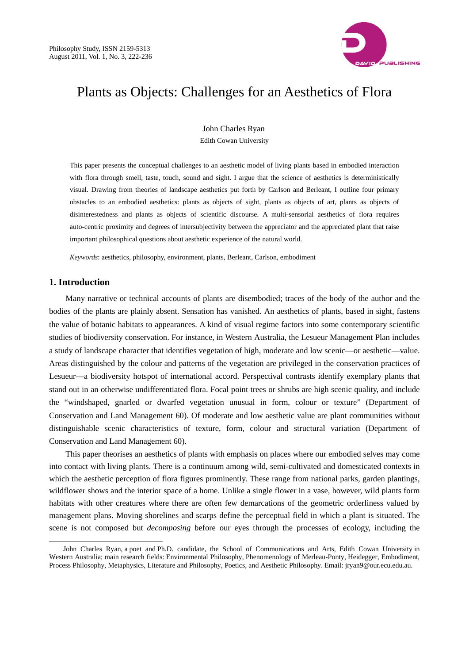

# Plants as Objects: Challenges for an Aesthetics of Flora

John Charles Ryan Edith Cowan University

This paper presents the conceptual challenges to an aesthetic model of living plants based in embodied interaction with flora through smell, taste, touch, sound and sight. I argue that the science of aesthetics is deterministically visual. Drawing from theories of landscape aesthetics put forth by Carlson and Berleant, I outline four primary obstacles to an embodied aesthetics: plants as objects of sight, plants as objects of art, plants as objects of disinterestedness and plants as objects of scientific discourse. A multi-sensorial aesthetics of flora requires auto-centric proximity and degrees of intersubjectivity between the appreciator and the appreciated plant that raise important philosophical questions about aesthetic experience of the natural world.

*Keywords*: aesthetics, philosophy, environment, plants, Berleant, Carlson, embodiment

## **1. Introduction**

 $\overline{a}$ 

Many narrative or technical accounts of plants are disembodied; traces of the body of the author and the bodies of the plants are plainly absent. Sensation has vanished. An aesthetics of plants, based in sight, fastens the value of botanic habitats to appearances. A kind of visual regime factors into some contemporary scientific studies of biodiversity conservation. For instance, in Western Australia, the Lesueur Management Plan includes a study of landscape character that identifies vegetation of high, moderate and low scenic—or aesthetic—value. Areas distinguished by the colour and patterns of the vegetation are privileged in the conservation practices of Lesueur—a biodiversity hotspot of international accord. Perspectival contrasts identify exemplary plants that stand out in an otherwise undifferentiated flora. Focal point trees or shrubs are high scenic quality, and include the "windshaped, gnarled or dwarfed vegetation unusual in form, colour or texture" (Department of Conservation and Land Management 60). Of moderate and low aesthetic value are plant communities without distinguishable scenic characteristics of texture, form, colour and structural variation (Department of Conservation and Land Management 60).

This paper theorises an aesthetics of plants with emphasis on places where our embodied selves may come into contact with living plants. There is a continuum among wild, semi-cultivated and domesticated contexts in which the aesthetic perception of flora figures prominently. These range from national parks, garden plantings, wildflower shows and the interior space of a home. Unlike a single flower in a vase, however, wild plants form habitats with other creatures where there are often few demarcations of the geometric orderliness valued by management plans. Moving shorelines and scarps define the perceptual field in which a plant is situated. The scene is not composed but *decomposing* before our eyes through the processes of ecology, including the

John Charles Ryan, a poet and Ph.D. candidate, the School of Communications and Arts, Edith Cowan University in Western Australia; main research fields: Environmental Philosophy, Phenomenology of Merleau-Ponty, Heidegger, Embodiment, Process Philosophy, Metaphysics, Literature and Philosophy, Poetics, and Aesthetic Philosophy. Email: jryan9@our.ecu.edu.au.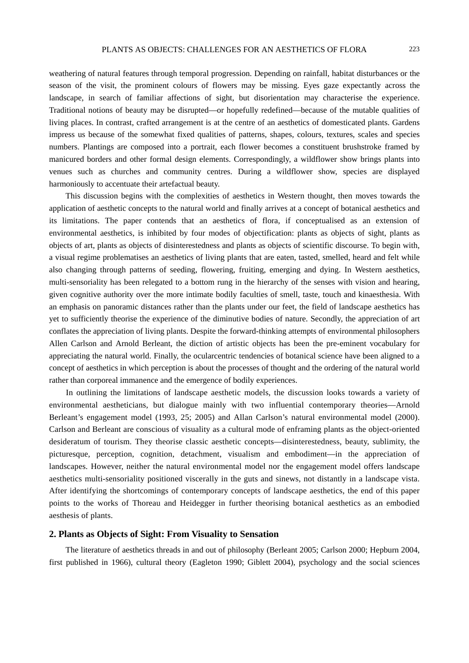weathering of natural features through temporal progression. Depending on rainfall, habitat disturbances or the season of the visit, the prominent colours of flowers may be missing. Eyes gaze expectantly across the landscape, in search of familiar affections of sight, but disorientation may characterise the experience. Traditional notions of beauty may be disrupted—or hopefully redefined—because of the mutable qualities of living places. In contrast, crafted arrangement is at the centre of an aesthetics of domesticated plants. Gardens impress us because of the somewhat fixed qualities of patterns, shapes, colours, textures, scales and species numbers. Plantings are composed into a portrait, each flower becomes a constituent brushstroke framed by manicured borders and other formal design elements. Correspondingly, a wildflower show brings plants into venues such as churches and community centres. During a wildflower show, species are displayed harmoniously to accentuate their artefactual beauty.

This discussion begins with the complexities of aesthetics in Western thought, then moves towards the application of aesthetic concepts to the natural world and finally arrives at a concept of botanical aesthetics and its limitations. The paper contends that an aesthetics of flora, if conceptualised as an extension of environmental aesthetics, is inhibited by four modes of objectification: plants as objects of sight, plants as objects of art, plants as objects of disinterestedness and plants as objects of scientific discourse. To begin with, a visual regime problematises an aesthetics of living plants that are eaten, tasted, smelled, heard and felt while also changing through patterns of seeding, flowering, fruiting, emerging and dying. In Western aesthetics, multi-sensoriality has been relegated to a bottom rung in the hierarchy of the senses with vision and hearing, given cognitive authority over the more intimate bodily faculties of smell, taste, touch and kinaesthesia. With an emphasis on panoramic distances rather than the plants under our feet, the field of landscape aesthetics has yet to sufficiently theorise the experience of the diminutive bodies of nature. Secondly, the appreciation of art conflates the appreciation of living plants. Despite the forward-thinking attempts of environmental philosophers Allen Carlson and Arnold Berleant, the diction of artistic objects has been the pre-eminent vocabulary for appreciating the natural world. Finally, the ocularcentric tendencies of botanical science have been aligned to a concept of aesthetics in which perception is about the processes of thought and the ordering of the natural world rather than corporeal immanence and the emergence of bodily experiences.

In outlining the limitations of landscape aesthetic models, the discussion looks towards a variety of environmental aestheticians, but dialogue mainly with two influential contemporary theories—Arnold Berleant's engagement model (1993, 25; 2005) and Allan Carlson's natural environmental model (2000). Carlson and Berleant are conscious of visuality as a cultural mode of enframing plants as the object-oriented desideratum of tourism. They theorise classic aesthetic concepts—disinterestedness, beauty, sublimity, the picturesque, perception, cognition, detachment, visualism and embodiment—in the appreciation of landscapes. However, neither the natural environmental model nor the engagement model offers landscape aesthetics multi-sensoriality positioned viscerally in the guts and sinews, not distantly in a landscape vista. After identifying the shortcomings of contemporary concepts of landscape aesthetics, the end of this paper points to the works of Thoreau and Heidegger in further theorising botanical aesthetics as an embodied aesthesis of plants.

## **2. Plants as Objects of Sight: From Visuality to Sensation**

The literature of aesthetics threads in and out of philosophy (Berleant 2005; Carlson 2000; Hepburn 2004, first published in 1966), cultural theory (Eagleton 1990; Giblett 2004), psychology and the social sciences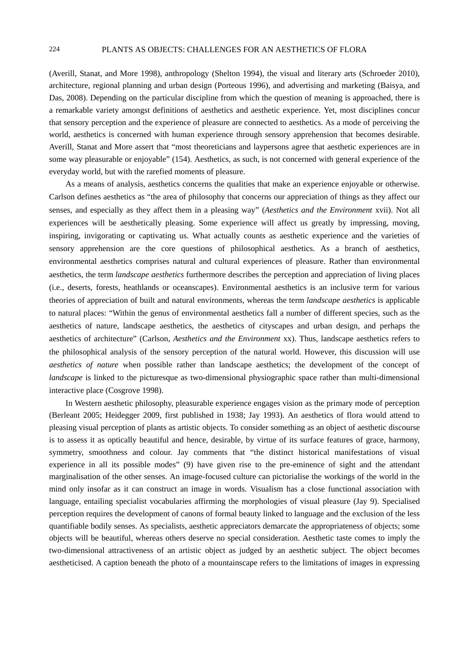(Averill, Stanat, and More 1998), anthropology (Shelton 1994), the visual and literary arts (Schroeder 2010), architecture, regional planning and urban design (Porteous 1996), and advertising and marketing (Baisya, and Das, 2008). Depending on the particular discipline from which the question of meaning is approached, there is a remarkable variety amongst definitions of aesthetics and aesthetic experience. Yet, most disciplines concur that sensory perception and the experience of pleasure are connected to aesthetics. As a mode of perceiving the world, aesthetics is concerned with human experience through sensory apprehension that becomes desirable. Averill, Stanat and More assert that "most theoreticians and laypersons agree that aesthetic experiences are in some way pleasurable or enjoyable" (154). Aesthetics, as such, is not concerned with general experience of the everyday world, but with the rarefied moments of pleasure.

As a means of analysis, aesthetics concerns the qualities that make an experience enjoyable or otherwise. Carlson defines aesthetics as "the area of philosophy that concerns our appreciation of things as they affect our senses, and especially as they affect them in a pleasing way" (*Aesthetics and the Environment* xvii). Not all experiences will be aesthetically pleasing. Some experience will affect us greatly by impressing, moving, inspiring, invigorating or captivating us. What actually counts as aesthetic experience and the varieties of sensory apprehension are the core questions of philosophical aesthetics. As a branch of aesthetics, environmental aesthetics comprises natural and cultural experiences of pleasure. Rather than environmental aesthetics, the term *landscape aesthetics* furthermore describes the perception and appreciation of living places (i.e., deserts, forests, heathlands or oceanscapes). Environmental aesthetics is an inclusive term for various theories of appreciation of built and natural environments, whereas the term *landscape aesthetics* is applicable to natural places: "Within the genus of environmental aesthetics fall a number of different species, such as the aesthetics of nature, landscape aesthetics, the aesthetics of cityscapes and urban design, and perhaps the aesthetics of architecture" (Carlson, *Aesthetics and the Environment* xx). Thus, landscape aesthetics refers to the philosophical analysis of the sensory perception of the natural world. However, this discussion will use *aesthetics of nature* when possible rather than landscape aesthetics; the development of the concept of *landscape* is linked to the picturesque as two-dimensional physiographic space rather than multi-dimensional interactive place (Cosgrove 1998).

In Western aesthetic philosophy, pleasurable experience engages vision as the primary mode of perception (Berleant 2005; Heidegger 2009, first published in 1938; Jay 1993). An aesthetics of flora would attend to pleasing visual perception of plants as artistic objects. To consider something as an object of aesthetic discourse is to assess it as optically beautiful and hence, desirable, by virtue of its surface features of grace, harmony, symmetry, smoothness and colour. Jay comments that "the distinct historical manifestations of visual experience in all its possible modes" (9) have given rise to the pre-eminence of sight and the attendant marginalisation of the other senses. An image-focused culture can pictorialise the workings of the world in the mind only insofar as it can construct an image in words. Visualism has a close functional association with language, entailing specialist vocabularies affirming the morphologies of visual pleasure (Jay 9). Specialised perception requires the development of canons of formal beauty linked to language and the exclusion of the less quantifiable bodily senses. As specialists, aesthetic appreciators demarcate the appropriateness of objects; some objects will be beautiful, whereas others deserve no special consideration. Aesthetic taste comes to imply the two-dimensional attractiveness of an artistic object as judged by an aesthetic subject. The object becomes aestheticised. A caption beneath the photo of a mountainscape refers to the limitations of images in expressing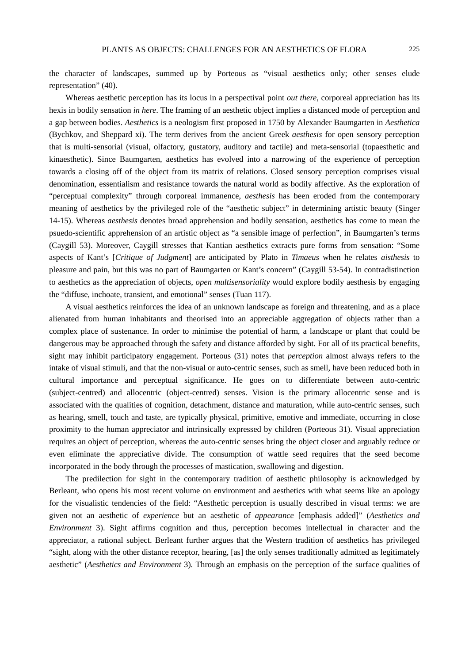the character of landscapes, summed up by Porteous as "visual aesthetics only; other senses elude representation" (40).

Whereas aesthetic perception has its locus in a perspectival point *out there*, corporeal appreciation has its hexis in bodily sensation *in here*. The framing of an aesthetic object implies a distanced mode of perception and a gap between bodies. *Aesthetics* is a neologism first proposed in 1750 by Alexander Baumgarten in *Aesthetica* (Bychkov, and Sheppard xi). The term derives from the ancient Greek *aesthesis* for open sensory perception that is multi-sensorial (visual, olfactory, gustatory, auditory and tactile) and meta-sensorial (topaesthetic and kinaesthetic). Since Baumgarten, aesthetics has evolved into a narrowing of the experience of perception towards a closing off of the object from its matrix of relations. Closed sensory perception comprises visual denomination, essentialism and resistance towards the natural world as bodily affective. As the exploration of "perceptual complexity" through corporeal immanence, *aesthesis* has been eroded from the contemporary meaning of aesthetics by the privileged role of the "aesthetic subject" in determining artistic beauty (Singer 14-15). Whereas *aesthesis* denotes broad apprehension and bodily sensation, aesthetics has come to mean the psuedo-scientific apprehension of an artistic object as "a sensible image of perfection", in Baumgarten's terms (Caygill 53). Moreover, Caygill stresses that Kantian aesthetics extracts pure forms from sensation: "Some aspects of Kant's [*Critique of Judgment*] are anticipated by Plato in *Timaeus* when he relates *aisthesis* to pleasure and pain, but this was no part of Baumgarten or Kant's concern" (Caygill 53-54). In contradistinction to aesthetics as the appreciation of objects, *open multisensoriality* would explore bodily aesthesis by engaging the "diffuse, inchoate, transient, and emotional" senses (Tuan 117).

A visual aesthetics reinforces the idea of an unknown landscape as foreign and threatening, and as a place alienated from human inhabitants and theorised into an appreciable aggregation of objects rather than a complex place of sustenance. In order to minimise the potential of harm, a landscape or plant that could be dangerous may be approached through the safety and distance afforded by sight. For all of its practical benefits, sight may inhibit participatory engagement. Porteous (31) notes that *perception* almost always refers to the intake of visual stimuli, and that the non-visual or auto-centric senses, such as smell, have been reduced both in cultural importance and perceptual significance. He goes on to differentiate between auto-centric (subject-centred) and allocentric (object-centred) senses. Vision is the primary allocentric sense and is associated with the qualities of cognition, detachment, distance and maturation, while auto-centric senses, such as hearing, smell, touch and taste, are typically physical, primitive, emotive and immediate, occurring in close proximity to the human appreciator and intrinsically expressed by children (Porteous 31). Visual appreciation requires an object of perception, whereas the auto-centric senses bring the object closer and arguably reduce or even eliminate the appreciative divide. The consumption of wattle seed requires that the seed become incorporated in the body through the processes of mastication, swallowing and digestion.

The predilection for sight in the contemporary tradition of aesthetic philosophy is acknowledged by Berleant, who opens his most recent volume on environment and aesthetics with what seems like an apology for the visualistic tendencies of the field: "Aesthetic perception is usually described in visual terms: we are given not an aesthetic of *experience* but an aesthetic of *appearance* [emphasis added]" (*Aesthetics and Environment* 3). Sight affirms cognition and thus, perception becomes intellectual in character and the appreciator, a rational subject. Berleant further argues that the Western tradition of aesthetics has privileged "sight, along with the other distance receptor, hearing, [as] the only senses traditionally admitted as legitimately aesthetic" (*Aesthetics and Environment* 3). Through an emphasis on the perception of the surface qualities of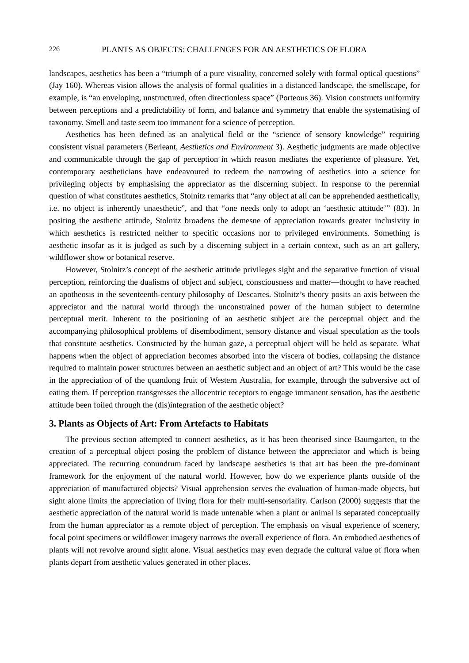landscapes, aesthetics has been a "triumph of a pure visuality, concerned solely with formal optical questions" (Jay 160). Whereas vision allows the analysis of formal qualities in a distanced landscape, the smellscape, for example, is "an enveloping, unstructured, often directionless space" (Porteous 36). Vision constructs uniformity between perceptions and a predictability of form, and balance and symmetry that enable the systematising of taxonomy. Smell and taste seem too immanent for a science of perception.

Aesthetics has been defined as an analytical field or the "science of sensory knowledge" requiring consistent visual parameters (Berleant, *Aesthetics and Environment* 3). Aesthetic judgments are made objective and communicable through the gap of perception in which reason mediates the experience of pleasure. Yet, contemporary aestheticians have endeavoured to redeem the narrowing of aesthetics into a science for privileging objects by emphasising the appreciator as the discerning subject. In response to the perennial question of what constitutes aesthetics, Stolnitz remarks that "any object at all can be apprehended aesthetically, i.e. no object is inherently unaesthetic", and that "one needs only to adopt an 'aesthetic attitude'" (83). In positing the aesthetic attitude, Stolnitz broadens the demesne of appreciation towards greater inclusivity in which aesthetics is restricted neither to specific occasions nor to privileged environments. Something is aesthetic insofar as it is judged as such by a discerning subject in a certain context, such as an art gallery, wildflower show or botanical reserve.

However, Stolnitz's concept of the aesthetic attitude privileges sight and the separative function of visual perception, reinforcing the dualisms of object and subject, consciousness and matter—thought to have reached an apotheosis in the seventeenth-century philosophy of Descartes. Stolnitz's theory posits an axis between the appreciator and the natural world through the unconstrained power of the human subject to determine perceptual merit. Inherent to the positioning of an aesthetic subject are the perceptual object and the accompanying philosophical problems of disembodiment, sensory distance and visual speculation as the tools that constitute aesthetics. Constructed by the human gaze, a perceptual object will be held as separate. What happens when the object of appreciation becomes absorbed into the viscera of bodies, collapsing the distance required to maintain power structures between an aesthetic subject and an object of art? This would be the case in the appreciation of of the quandong fruit of Western Australia, for example, through the subversive act of eating them. If perception transgresses the allocentric receptors to engage immanent sensation, has the aesthetic attitude been foiled through the (dis)integration of the aesthetic object?

### **3. Plants as Objects of Art: From Artefacts to Habitats**

The previous section attempted to connect aesthetics, as it has been theorised since Baumgarten, to the creation of a perceptual object posing the problem of distance between the appreciator and which is being appreciated. The recurring conundrum faced by landscape aesthetics is that art has been the pre-dominant framework for the enjoyment of the natural world. However, how do we experience plants outside of the appreciation of manufactured objects? Visual apprehension serves the evaluation of human-made objects, but sight alone limits the appreciation of living flora for their multi-sensoriality. Carlson (2000) suggests that the aesthetic appreciation of the natural world is made untenable when a plant or animal is separated conceptually from the human appreciator as a remote object of perception. The emphasis on visual experience of scenery, focal point specimens or wildflower imagery narrows the overall experience of flora. An embodied aesthetics of plants will not revolve around sight alone. Visual aesthetics may even degrade the cultural value of flora when plants depart from aesthetic values generated in other places.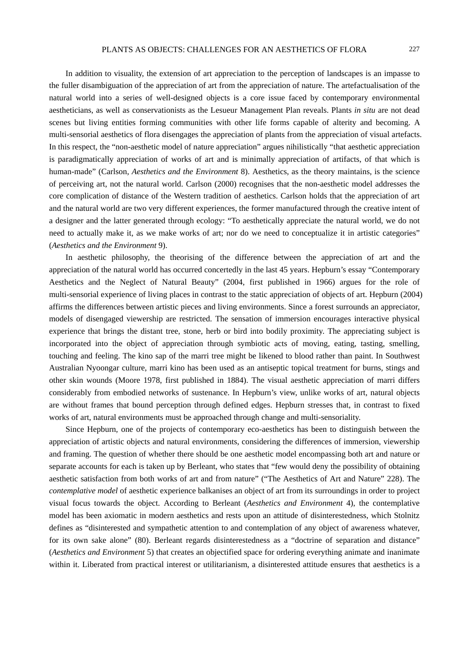In addition to visuality, the extension of art appreciation to the perception of landscapes is an impasse to the fuller disambiguation of the appreciation of art from the appreciation of nature. The artefactualisation of the natural world into a series of well-designed objects is a core issue faced by contemporary environmental aestheticians, as well as conservationists as the Lesueur Management Plan reveals. Plants *in situ* are not dead scenes but living entities forming communities with other life forms capable of alterity and becoming. A multi-sensorial aesthetics of flora disengages the appreciation of plants from the appreciation of visual artefacts. In this respect, the "non-aesthetic model of nature appreciation" argues nihilistically "that aesthetic appreciation is paradigmatically appreciation of works of art and is minimally appreciation of artifacts, of that which is human-made" (Carlson, *Aesthetics and the Environment* 8). Aesthetics, as the theory maintains, is the science of perceiving art, not the natural world. Carlson (2000) recognises that the non-aesthetic model addresses the core complication of distance of the Western tradition of aesthetics. Carlson holds that the appreciation of art and the natural world are two very different experiences, the former manufactured through the creative intent of a designer and the latter generated through ecology: "To aesthetically appreciate the natural world, we do not need to actually make it, as we make works of art; nor do we need to conceptualize it in artistic categories" (*Aesthetics and the Environment* 9).

In aesthetic philosophy, the theorising of the difference between the appreciation of art and the appreciation of the natural world has occurred concertedly in the last 45 years. Hepburn's essay "Contemporary Aesthetics and the Neglect of Natural Beauty" (2004, first published in 1966) argues for the role of multi-sensorial experience of living places in contrast to the static appreciation of objects of art. Hepburn (2004) affirms the differences between artistic pieces and living environments. Since a forest surrounds an appreciator, models of disengaged viewership are restricted. The sensation of immersion encourages interactive physical experience that brings the distant tree, stone, herb or bird into bodily proximity. The appreciating subject is incorporated into the object of appreciation through symbiotic acts of moving, eating, tasting, smelling, touching and feeling. The kino sap of the marri tree might be likened to blood rather than paint. In Southwest Australian Nyoongar culture, marri kino has been used as an antiseptic topical treatment for burns, stings and other skin wounds (Moore 1978, first published in 1884). The visual aesthetic appreciation of marri differs considerably from embodied networks of sustenance. In Hepburn's view, unlike works of art, natural objects are without frames that bound perception through defined edges. Hepburn stresses that, in contrast to fixed works of art, natural environments must be approached through change and multi-sensoriality.

Since Hepburn, one of the projects of contemporary eco-aesthetics has been to distinguish between the appreciation of artistic objects and natural environments, considering the differences of immersion, viewership and framing. The question of whether there should be one aesthetic model encompassing both art and nature or separate accounts for each is taken up by Berleant, who states that "few would deny the possibility of obtaining aesthetic satisfaction from both works of art and from nature" ("The Aesthetics of Art and Nature" 228). The *contemplative model* of aesthetic experience balkanises an object of art from its surroundings in order to project visual focus towards the object. According to Berleant (*Aesthetics and Environment* 4), the contemplative model has been axiomatic in modern aesthetics and rests upon an attitude of disinterestedness, which Stolnitz defines as "disinterested and sympathetic attention to and contemplation of any object of awareness whatever, for its own sake alone" (80). Berleant regards disinterestedness as a "doctrine of separation and distance" (*Aesthetics and Environment* 5) that creates an objectified space for ordering everything animate and inanimate within it. Liberated from practical interest or utilitarianism, a disinterested attitude ensures that aesthetics is a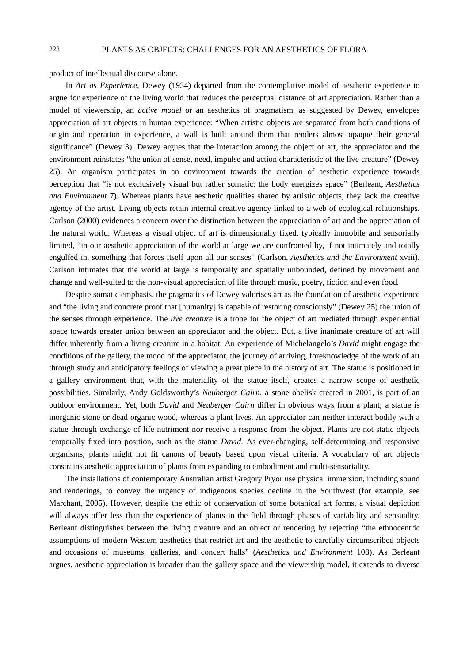product of intellectual discourse alone.

In *Art as Experience*, Dewey (1934) departed from the contemplative model of aesthetic experience to argue for experience of the living world that reduces the perceptual distance of art appreciation. Rather than a model of viewership, an *active model* or an aesthetics of pragmatism, as suggested by Dewey, envelopes appreciation of art objects in human experience: "When artistic objects are separated from both conditions of origin and operation in experience, a wall is built around them that renders almost opaque their general significance" (Dewey 3). Dewey argues that the interaction among the object of art, the appreciator and the environment reinstates "the union of sense, need, impulse and action characteristic of the live creature" (Dewey 25). An organism participates in an environment towards the creation of aesthetic experience towards perception that "is not exclusively visual but rather somatic: the body energizes space" (Berleant, *Aesthetics and Environment* 7). Whereas plants have aesthetic qualities shared by artistic objects, they lack the creative agency of the artist. Living objects retain internal creative agency linked to a web of ecological relationships. Carlson (2000) evidences a concern over the distinction between the appreciation of art and the appreciation of the natural world. Whereas a visual object of art is dimensionally fixed, typically immobile and sensorially limited, "in our aesthetic appreciation of the world at large we are confronted by, if not intimately and totally engulfed in, something that forces itself upon all our senses" (Carlson, *Aesthetics and the Environment* xviii). Carlson intimates that the world at large is temporally and spatially unbounded, defined by movement and change and well-suited to the non-visual appreciation of life through music, poetry, fiction and even food.

Despite somatic emphasis, the pragmatics of Dewey valorises art as the foundation of aesthetic experience and "the living and concrete proof that [humanity] is capable of restoring consciously" (Dewey 25) the union of the senses through experience. The *live creature* is a trope for the object of art mediated through experiential space towards greater union between an appreciator and the object. But, a live inanimate creature of art will differ inherently from a living creature in a habitat. An experience of Michelangelo's *David* might engage the conditions of the gallery, the mood of the appreciator, the journey of arriving, foreknowledge of the work of art through study and anticipatory feelings of viewing a great piece in the history of art. The statue is positioned in a gallery environment that, with the materiality of the statue itself, creates a narrow scope of aesthetic possibilities. Similarly, Andy Goldsworthy's *Neuberger Cairn*, a stone obelisk created in 2001, is part of an outdoor environment. Yet, both *David* and *Neuberger Cairn* differ in obvious ways from a plant; a statue is inorganic stone or dead organic wood, whereas a plant lives. An appreciator can neither interact bodily with a statue through exchange of life nutriment nor receive a response from the object. Plants are not static objects temporally fixed into position, such as the statue *David*. As ever-changing, self-determining and responsive organisms, plants might not fit canons of beauty based upon visual criteria. A vocabulary of art objects constrains aesthetic appreciation of plants from expanding to embodiment and multi-sensoriality.

The installations of contemporary Australian artist Gregory Pryor use physical immersion, including sound and renderings, to convey the urgency of indigenous species decline in the Southwest (for example, see Marchant, 2005). However, despite the ethic of conservation of some botanical art forms, a visual depiction will always offer less than the experience of plants in the field through phases of variability and sensuality. Berleant distinguishes between the living creature and an object or rendering by rejecting "the ethnocentric assumptions of modern Western aesthetics that restrict art and the aesthetic to carefully circumscribed objects and occasions of museums, galleries, and concert halls" (*Aesthetics and Environment* 108). As Berleant argues, aesthetic appreciation is broader than the gallery space and the viewership model, it extends to diverse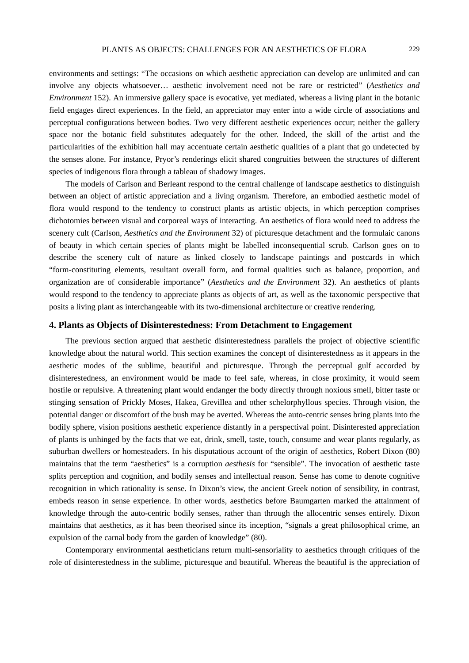environments and settings: "The occasions on which aesthetic appreciation can develop are unlimited and can involve any objects whatsoever… aesthetic involvement need not be rare or restricted" (*Aesthetics and Environment* 152). An immersive gallery space is evocative, yet mediated, whereas a living plant in the botanic field engages direct experiences. In the field, an appreciator may enter into a wide circle of associations and perceptual configurations between bodies. Two very different aesthetic experiences occur; neither the gallery space nor the botanic field substitutes adequately for the other. Indeed, the skill of the artist and the particularities of the exhibition hall may accentuate certain aesthetic qualities of a plant that go undetected by the senses alone. For instance, Pryor's renderings elicit shared congruities between the structures of different species of indigenous flora through a tableau of shadowy images.

The models of Carlson and Berleant respond to the central challenge of landscape aesthetics to distinguish between an object of artistic appreciation and a living organism. Therefore, an embodied aesthetic model of flora would respond to the tendency to construct plants as artistic objects, in which perception comprises dichotomies between visual and corporeal ways of interacting. An aesthetics of flora would need to address the scenery cult (Carlson, *Aesthetics and the Environment* 32) of picturesque detachment and the formulaic canons of beauty in which certain species of plants might be labelled inconsequential scrub. Carlson goes on to describe the scenery cult of nature as linked closely to landscape paintings and postcards in which "form-constituting elements, resultant overall form, and formal qualities such as balance, proportion, and organization are of considerable importance" (*Aesthetics and the Environment* 32). An aesthetics of plants would respond to the tendency to appreciate plants as objects of art, as well as the taxonomic perspective that posits a living plant as interchangeable with its two-dimensional architecture or creative rendering.

## **4. Plants as Objects of Disinterestedness: From Detachment to Engagement**

The previous section argued that aesthetic disinterestedness parallels the project of objective scientific knowledge about the natural world. This section examines the concept of disinterestedness as it appears in the aesthetic modes of the sublime, beautiful and picturesque. Through the perceptual gulf accorded by disinterestedness, an environment would be made to feel safe, whereas, in close proximity, it would seem hostile or repulsive. A threatening plant would endanger the body directly through noxious smell, bitter taste or stinging sensation of Prickly Moses, Hakea, Grevillea and other schelorphyllous species. Through vision, the potential danger or discomfort of the bush may be averted. Whereas the auto-centric senses bring plants into the bodily sphere, vision positions aesthetic experience distantly in a perspectival point. Disinterested appreciation of plants is unhinged by the facts that we eat, drink, smell, taste, touch, consume and wear plants regularly, as suburban dwellers or homesteaders. In his disputatious account of the origin of aesthetics, Robert Dixon (80) maintains that the term "aesthetics" is a corruption *aesthesis* for "sensible". The invocation of aesthetic taste splits perception and cognition, and bodily senses and intellectual reason. Sense has come to denote cognitive recognition in which rationality is sense. In Dixon's view, the ancient Greek notion of sensibility, in contrast, embeds reason in sense experience. In other words, aesthetics before Baumgarten marked the attainment of knowledge through the auto**-**centric bodily senses, rather than through the allocentric senses entirely. Dixon maintains that aesthetics, as it has been theorised since its inception, "signals a great philosophical crime, an expulsion of the carnal body from the garden of knowledge" (80).

Contemporary environmental aestheticians return multi-sensoriality to aesthetics through critiques of the role of disinterestedness in the sublime, picturesque and beautiful. Whereas the beautiful is the appreciation of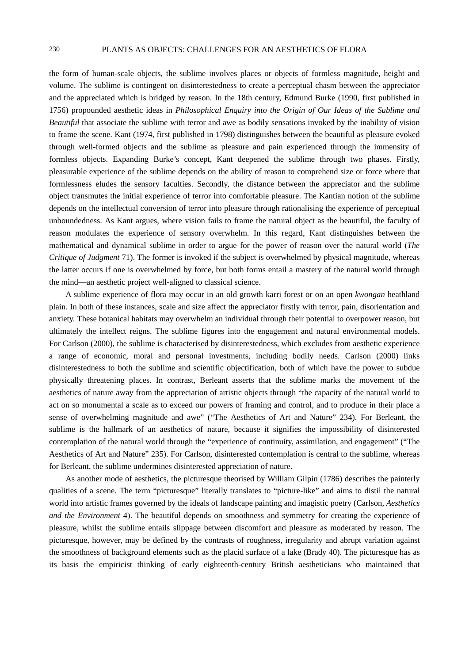# 230 PLANTS AS OBJECTS: CHALLENGES FOR AN AESTHETICS OF FLORA

the form of human-scale objects, the sublime involves places or objects of formless magnitude, height and volume. The sublime is contingent on disinterestedness to create a perceptual chasm between the appreciator and the appreciated which is bridged by reason. In the 18th century, Edmund Burke (1990, first published in 1756) propounded aesthetic ideas in *Philosophical Enquiry into the Origin of Our Ideas of the Sublime and Beautiful* that associate the sublime with terror and awe as bodily sensations invoked by the inability of vision to frame the scene. Kant (1974, first published in 1798) distinguishes between the beautiful as pleasure evoked through well-formed objects and the sublime as pleasure and pain experienced through the immensity of formless objects. Expanding Burke's concept, Kant deepened the sublime through two phases. Firstly, pleasurable experience of the sublime depends on the ability of reason to comprehend size or force where that formlessness eludes the sensory faculties. Secondly, the distance between the appreciator and the sublime object transmutes the initial experience of terror into comfortable pleasure. The Kantian notion of the sublime depends on the intellectual conversion of terror into pleasure through rationalising the experience of perceptual unboundedness. As Kant argues, where vision fails to frame the natural object as the beautiful, the faculty of reason modulates the experience of sensory overwhelm. In this regard, Kant distinguishes between the mathematical and dynamical sublime in order to argue for the power of reason over the natural world (*The Critique of Judgment* 71). The former is invoked if the subject is overwhelmed by physical magnitude, whereas the latter occurs if one is overwhelmed by force, but both forms entail a mastery of the natural world through the mind—an aesthetic project well-aligned to classical science.

A sublime experience of flora may occur in an old growth karri forest or on an open *kwongan* heathland plain. In both of these instances, scale and size affect the appreciator firstly with terror, pain, disorientation and anxiety. These botanical habitats may overwhelm an individual through their potential to overpower reason, but ultimately the intellect reigns. The sublime figures into the engagement and natural environmental models. For Carlson (2000), the sublime is characterised by disinterestedness, which excludes from aesthetic experience a range of economic, moral and personal investments, including bodily needs. Carlson (2000) links disinterestedness to both the sublime and scientific objectification, both of which have the power to subdue physically threatening places. In contrast, Berleant asserts that the sublime marks the movement of the aesthetics of nature away from the appreciation of artistic objects through "the capacity of the natural world to act on so monumental a scale as to exceed our powers of framing and control, and to produce in their place a sense of overwhelming magnitude and awe" ("The Aesthetics of Art and Nature" 234). For Berleant, the sublime is the hallmark of an aesthetics of nature, because it signifies the impossibility of disinterested contemplation of the natural world through the "experience of continuity, assimilation, and engagement" ("The Aesthetics of Art and Nature" 235). For Carlson, disinterested contemplation is central to the sublime, whereas for Berleant, the sublime undermines disinterested appreciation of nature.

As another mode of aesthetics, the picturesque theorised by William Gilpin (1786) describes the painterly qualities of a scene. The term "picturesque" literally translates to "picture-like" and aims to distil the natural world into artistic frames governed by the ideals of landscape painting and imagistic poetry (Carlson, *Aesthetics and the Environment* 4). The beautiful depends on smoothness and symmetry for creating the experience of pleasure, whilst the sublime entails slippage between discomfort and pleasure as moderated by reason. The picturesque, however, may be defined by the contrasts of roughness, irregularity and abrupt variation against the smoothness of background elements such as the placid surface of a lake (Brady 40). The picturesque has as its basis the empiricist thinking of early eighteenth-century British aestheticians who maintained that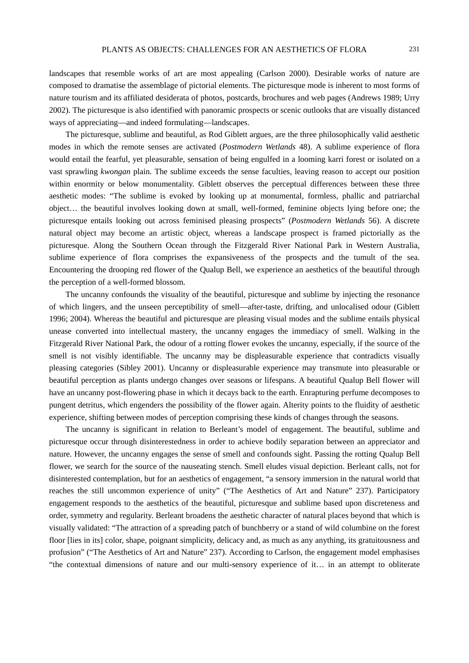landscapes that resemble works of art are most appealing (Carlson 2000). Desirable works of nature are composed to dramatise the assemblage of pictorial elements. The picturesque mode is inherent to most forms of nature tourism and its affiliated desiderata of photos, postcards, brochures and web pages (Andrews 1989; Urry 2002). The picturesque is also identified with panoramic prospects or scenic outlooks that are visually distanced ways of appreciating—and indeed formulating—landscapes.

The picturesque, sublime and beautiful, as Rod Giblett argues, are the three philosophically valid aesthetic modes in which the remote senses are activated (*Postmodern Wetlands* 48). A sublime experience of flora would entail the fearful, yet pleasurable, sensation of being engulfed in a looming karri forest or isolated on a vast sprawling *kwongan* plain. The sublime exceeds the sense faculties, leaving reason to accept our position within enormity or below monumentality. Giblett observes the perceptual differences between these three aesthetic modes: "The sublime is evoked by looking up at monumental, formless, phallic and patriarchal object… the beautiful involves looking down at small, well-formed, feminine objects lying before one; the picturesque entails looking out across feminised pleasing prospects" (*Postmodern Wetlands* 56). A discrete natural object may become an artistic object, whereas a landscape prospect is framed pictorially as the picturesque. Along the Southern Ocean through the Fitzgerald River National Park in Western Australia, sublime experience of flora comprises the expansiveness of the prospects and the tumult of the sea. Encountering the drooping red flower of the Qualup Bell, we experience an aesthetics of the beautiful through the perception of a well-formed blossom.

The uncanny confounds the visuality of the beautiful, picturesque and sublime by injecting the resonance of which lingers, and the unseen perceptibility of smell—after-taste, drifting, and unlocalised odour (Giblett 1996; 2004). Whereas the beautiful and picturesque are pleasing visual modes and the sublime entails physical unease converted into intellectual mastery, the uncanny engages the immediacy of smell. Walking in the Fitzgerald River National Park, the odour of a rotting flower evokes the uncanny, especially, if the source of the smell is not visibly identifiable. The uncanny may be displeasurable experience that contradicts visually pleasing categories (Sibley 2001). Uncanny or displeasurable experience may transmute into pleasurable or beautiful perception as plants undergo changes over seasons or lifespans. A beautiful Qualup Bell flower will have an uncanny post-flowering phase in which it decays back to the earth. Enrapturing perfume decomposes to pungent detritus, which engenders the possibility of the flower again. Alterity points to the fluidity of aesthetic experience, shifting between modes of perception comprising these kinds of changes through the seasons.

The uncanny is significant in relation to Berleant's model of engagement. The beautiful, sublime and picturesque occur through disinterestedness in order to achieve bodily separation between an appreciator and nature. However, the uncanny engages the sense of smell and confounds sight. Passing the rotting Qualup Bell flower, we search for the source of the nauseating stench. Smell eludes visual depiction. Berleant calls, not for disinterested contemplation, but for an aesthetics of engagement, "a sensory immersion in the natural world that reaches the still uncommon experience of unity" ("The Aesthetics of Art and Nature" 237). Participatory engagement responds to the aesthetics of the beautiful, picturesque and sublime based upon discreteness and order, symmetry and regularity. Berleant broadens the aesthetic character of natural places beyond that which is visually validated: "The attraction of a spreading patch of bunchberry or a stand of wild columbine on the forest floor [lies in its] color, shape, poignant simplicity, delicacy and, as much as any anything, its gratuitousness and profusion" ("The Aesthetics of Art and Nature" 237). According to Carlson, the engagement model emphasises "the contextual dimensions of nature and our multi-sensory experience of it… in an attempt to obliterate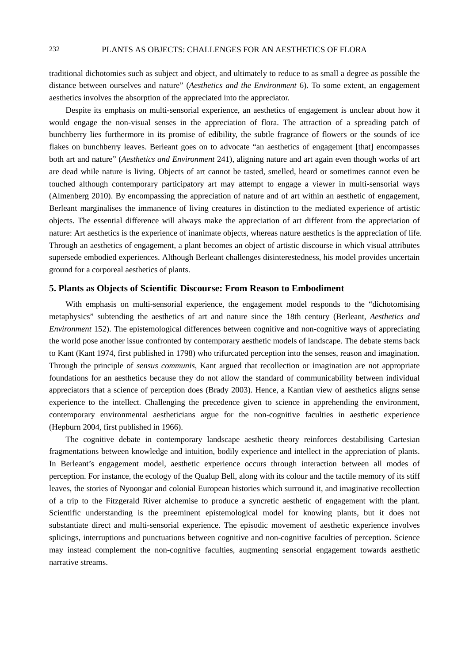traditional dichotomies such as subject and object, and ultimately to reduce to as small a degree as possible the distance between ourselves and nature" (*Aesthetics and the Environment* 6). To some extent, an engagement aesthetics involves the absorption of the appreciated into the appreciator.

Despite its emphasis on multi-sensorial experience, an aesthetics of engagement is unclear about how it would engage the non-visual senses in the appreciation of flora. The attraction of a spreading patch of bunchberry lies furthermore in its promise of edibility, the subtle fragrance of flowers or the sounds of ice flakes on bunchberry leaves. Berleant goes on to advocate "an aesthetics of engagement [that] encompasses both art and nature" (*Aesthetics and Environment* 241), aligning nature and art again even though works of art are dead while nature is living. Objects of art cannot be tasted, smelled, heard or sometimes cannot even be touched although contemporary participatory art may attempt to engage a viewer in multi-sensorial ways (Almenberg 2010). By encompassing the appreciation of nature and of art within an aesthetic of engagement, Berleant marginalises the immanence of living creatures in distinction to the mediated experience of artistic objects. The essential difference will always make the appreciation of art different from the appreciation of nature: Art aesthetics is the experience of inanimate objects, whereas nature aesthetics is the appreciation of life. Through an aesthetics of engagement, a plant becomes an object of artistic discourse in which visual attributes supersede embodied experiences. Although Berleant challenges disinterestedness, his model provides uncertain ground for a corporeal aesthetics of plants.

# **5. Plants as Objects of Scientific Discourse: From Reason to Embodiment**

With emphasis on multi-sensorial experience, the engagement model responds to the "dichotomising metaphysics" subtending the aesthetics of art and nature since the 18th century (Berleant, *Aesthetics and Environment* 152). The epistemological differences between cognitive and non-cognitive ways of appreciating the world pose another issue confronted by contemporary aesthetic models of landscape. The debate stems back to Kant (Kant 1974, first published in 1798) who trifurcated perception into the senses, reason and imagination. Through the principle of *sensus communis*, Kant argued that recollection or imagination are not appropriate foundations for an aesthetics because they do not allow the standard of communicability between individual appreciators that a science of perception does (Brady 2003). Hence, a Kantian view of aesthetics aligns sense experience to the intellect. Challenging the precedence given to science in apprehending the environment, contemporary environmental aestheticians argue for the non-cognitive faculties in aesthetic experience (Hepburn 2004, first published in 1966).

The cognitive debate in contemporary landscape aesthetic theory reinforces destabilising Cartesian fragmentations between knowledge and intuition, bodily experience and intellect in the appreciation of plants. In Berleant's engagement model, aesthetic experience occurs through interaction between all modes of perception. For instance, the ecology of the Qualup Bell, along with its colour and the tactile memory of its stiff leaves, the stories of Nyoongar and colonial European histories which surround it, and imaginative recollection of a trip to the Fitzgerald River alchemise to produce a syncretic aesthetic of engagement with the plant. Scientific understanding is the preeminent epistemological model for knowing plants, but it does not substantiate direct and multi-sensorial experience. The episodic movement of aesthetic experience involves splicings, interruptions and punctuations between cognitive and non-cognitive faculties of perception. Science may instead complement the non-cognitive faculties, augmenting sensorial engagement towards aesthetic narrative streams.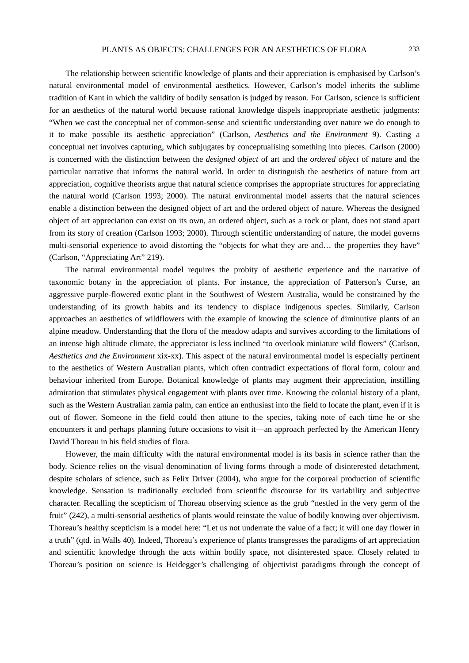The relationship between scientific knowledge of plants and their appreciation is emphasised by Carlson's natural environmental model of environmental aesthetics. However, Carlson's model inherits the sublime tradition of Kant in which the validity of bodily sensation is judged by reason. For Carlson, science is sufficient for an aesthetics of the natural world because rational knowledge dispels inappropriate aesthetic judgments: "When we cast the conceptual net of common-sense and scientific understanding over nature we do enough to it to make possible its aesthetic appreciation" (Carlson, *Aesthetics and the Environment* 9). Casting a conceptual net involves capturing, which subjugates by conceptualising something into pieces. Carlson (2000) is concerned with the distinction between the *designed object* of art and the *ordered object* of nature and the particular narrative that informs the natural world. In order to distinguish the aesthetics of nature from art appreciation, cognitive theorists argue that natural science comprises the appropriate structures for appreciating the natural world (Carlson 1993; 2000). The natural environmental model asserts that the natural sciences enable a distinction between the designed object of art and the ordered object of nature. Whereas the designed object of art appreciation can exist on its own, an ordered object, such as a rock or plant, does not stand apart from its story of creation (Carlson 1993; 2000). Through scientific understanding of nature, the model governs multi-sensorial experience to avoid distorting the "objects for what they are and… the properties they have" (Carlson, "Appreciating Art" 219).

The natural environmental model requires the probity of aesthetic experience and the narrative of taxonomic botany in the appreciation of plants. For instance, the appreciation of Patterson's Curse, an aggressive purple-flowered exotic plant in the Southwest of Western Australia, would be constrained by the understanding of its growth habits and its tendency to displace indigenous species. Similarly, Carlson approaches an aesthetics of wildflowers with the example of knowing the science of diminutive plants of an alpine meadow. Understanding that the flora of the meadow adapts and survives according to the limitations of an intense high altitude climate, the appreciator is less inclined "to overlook miniature wild flowers" (Carlson, *Aesthetics and the Environment* xix-xx). This aspect of the natural environmental model is especially pertinent to the aesthetics of Western Australian plants, which often contradict expectations of floral form, colour and behaviour inherited from Europe. Botanical knowledge of plants may augment their appreciation, instilling admiration that stimulates physical engagement with plants over time. Knowing the colonial history of a plant, such as the Western Australian zamia palm, can entice an enthusiast into the field to locate the plant, even if it is out of flower. Someone in the field could then attune to the species, taking note of each time he or she encounters it and perhaps planning future occasions to visit it—an approach perfected by the American Henry David Thoreau in his field studies of flora.

However, the main difficulty with the natural environmental model is its basis in science rather than the body. Science relies on the visual denomination of living forms through a mode of disinterested detachment, despite scholars of science, such as Felix Driver (2004), who argue for the corporeal production of scientific knowledge. Sensation is traditionally excluded from scientific discourse for its variability and subjective character. Recalling the scepticism of Thoreau observing science as the grub "nestled in the very germ of the fruit" (242), a multi-sensorial aesthetics of plants would reinstate the value of bodily knowing over objectivism. Thoreau's healthy scepticism is a model here: "Let us not underrate the value of a fact; it will one day flower in a truth" (qtd. in Walls 40). Indeed, Thoreau's experience of plants transgresses the paradigms of art appreciation and scientific knowledge through the acts within bodily space, not disinterested space. Closely related to Thoreau's position on science is Heidegger's challenging of objectivist paradigms through the concept of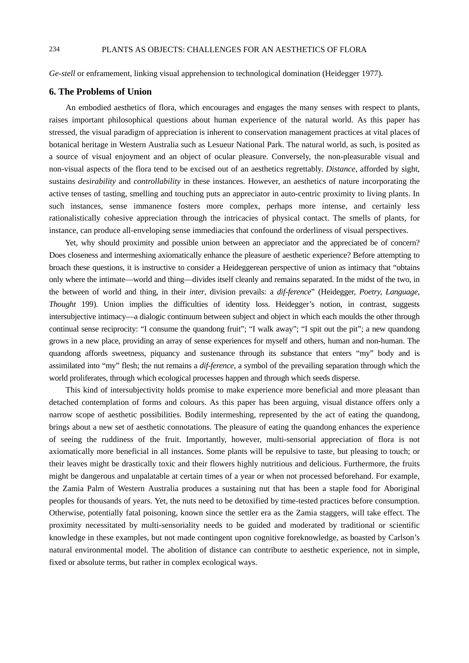*Ge-stell* or enframement, linking visual apprehension to technological domination (Heidegger 1977).

#### **6. The Problems of Union**

An embodied aesthetics of flora, which encourages and engages the many senses with respect to plants, raises important philosophical questions about human experience of the natural world. As this paper has stressed, the visual paradigm of appreciation is inherent to conservation management practices at vital places of botanical heritage in Western Australia such as Lesueur National Park. The natural world, as such, is posited as a source of visual enjoyment and an object of ocular pleasure. Conversely, the non-pleasurable visual and non-visual aspects of the flora tend to be excised out of an aesthetics regrettably. *Distance*, afforded by sight, sustains *desirability* and *controllability* in these instances. However, an aesthetics of nature incorporating the active tenses of tasting, smelling and touching puts an appreciator in auto-centric proximity to living plants. In such instances, sense immanence fosters more complex, perhaps more intense, and certainly less rationalistically cohesive appreciation through the intricacies of physical contact. The smells of plants, for instance, can produce all-enveloping sense immediacies that confound the orderliness of visual perspectives.

Yet, why should proximity and possible union between an appreciator and the appreciated be of concern? Does closeness and intermeshing axiomatically enhance the pleasure of aesthetic experience? Before attempting to broach these questions, it is instructive to consider a Heideggerean perspective of union as intimacy that "obtains only where the intimate—world and thing—divides itself cleanly and remains separated. In the midst of the two, in the between of world and thing, in their *inter*, division prevails: a *dif-ference*" (Heidegger, *Poetry, Language, Thought* 199). Union implies the difficulties of identity loss. Heidegger's notion, in contrast, suggests intersubjective intimacy—a dialogic continuum between subject and object in which each moulds the other through continual sense reciprocity: "I consume the quandong fruit"; "I walk away"; "I spit out the pit"; a new quandong grows in a new place, providing an array of sense experiences for myself and others, human and non-human. The quandong affords sweetness, piquancy and sustenance through its substance that enters "my" body and is assimilated into "my" flesh; the nut remains a *dif-ference*, a symbol of the prevailing separation through which the world proliferates, through which ecological processes happen and through which seeds disperse.

This kind of intersubjectivity holds promise to make experience more beneficial and more pleasant than detached contemplation of forms and colours. As this paper has been arguing, visual distance offers only a narrow scope of aesthetic possibilities. Bodily intermeshing, represented by the act of eating the quandong, brings about a new set of aesthetic connotations. The pleasure of eating the quandong enhances the experience of seeing the ruddiness of the fruit. Importantly, however, multi-sensorial appreciation of flora is not axiomatically more beneficial in all instances. Some plants will be repulsive to taste, but pleasing to touch; or their leaves might be drastically toxic and their flowers highly nutritious and delicious. Furthermore, the fruits might be dangerous and unpalatable at certain times of a year or when not processed beforehand. For example, the Zamia Palm of Western Australia produces a sustaining nut that has been a staple food for Aboriginal peoples for thousands of years. Yet, the nuts need to be detoxified by time-tested practices before consumption. Otherwise, potentially fatal poisoning, known since the settler era as the Zamia staggers, will take effect. The proximity necessitated by multi-sensoriality needs to be guided and moderated by traditional or scientific knowledge in these examples, but not made contingent upon cognitive foreknowledge, as boasted by Carlson's natural environmental model. The abolition of distance can contribute to aesthetic experience, not in simple, fixed or absolute terms, but rather in complex ecological ways.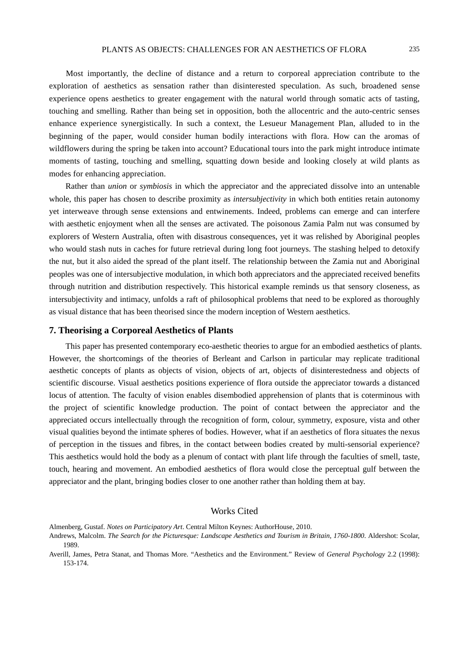Most importantly, the decline of distance and a return to corporeal appreciation contribute to the exploration of aesthetics as sensation rather than disinterested speculation. As such, broadened sense experience opens aesthetics to greater engagement with the natural world through somatic acts of tasting, touching and smelling. Rather than being set in opposition, both the allocentric and the auto-centric senses enhance experience synergistically. In such a context, the Lesueur Management Plan, alluded to in the beginning of the paper, would consider human bodily interactions with flora. How can the aromas of wildflowers during the spring be taken into account? Educational tours into the park might introduce intimate moments of tasting, touching and smelling, squatting down beside and looking closely at wild plants as modes for enhancing appreciation.

Rather than *union* or *symbiosis* in which the appreciator and the appreciated dissolve into an untenable whole, this paper has chosen to describe proximity as *intersubjectivity* in which both entities retain autonomy yet interweave through sense extensions and entwinements. Indeed, problems can emerge and can interfere with aesthetic enjoyment when all the senses are activated. The poisonous Zamia Palm nut was consumed by explorers of Western Australia, often with disastrous consequences, yet it was relished by Aboriginal peoples who would stash nuts in caches for future retrieval during long foot journeys. The stashing helped to detoxify the nut, but it also aided the spread of the plant itself. The relationship between the Zamia nut and Aboriginal peoples was one of intersubjective modulation, in which both appreciators and the appreciated received benefits through nutrition and distribution respectively. This historical example reminds us that sensory closeness, as intersubjectivity and intimacy, unfolds a raft of philosophical problems that need to be explored as thoroughly as visual distance that has been theorised since the modern inception of Western aesthetics.

#### **7. Theorising a Corporeal Aesthetics of Plants**

This paper has presented contemporary eco-aesthetic theories to argue for an embodied aesthetics of plants. However, the shortcomings of the theories of Berleant and Carlson in particular may replicate traditional aesthetic concepts of plants as objects of vision, objects of art, objects of disinterestedness and objects of scientific discourse. Visual aesthetics positions experience of flora outside the appreciator towards a distanced locus of attention. The faculty of vision enables disembodied apprehension of plants that is coterminous with the project of scientific knowledge production. The point of contact between the appreciator and the appreciated occurs intellectually through the recognition of form, colour, symmetry, exposure, vista and other visual qualities beyond the intimate spheres of bodies. However, what if an aesthetics of flora situates the nexus of perception in the tissues and fibres, in the contact between bodies created by multi-sensorial experience? This aesthetics would hold the body as a plenum of contact with plant life through the faculties of smell, taste, touch, hearing and movement. An embodied aesthetics of flora would close the perceptual gulf between the appreciator and the plant, bringing bodies closer to one another rather than holding them at bay.

### Works Cited

Almenberg, Gustaf. *Notes on Participatory Art*. Central Milton Keynes: AuthorHouse, 2010.

Andrews, Malcolm. *The Search for the Picturesque: Landscape Aesthetics and Tourism in Britain, 1760-1800*. Aldershot: Scolar, 1989.

Averill, James, Petra Stanat, and Thomas More. "Aesthetics and the Environment." Review of *General Psychology* 2.2 (1998): 153-174.